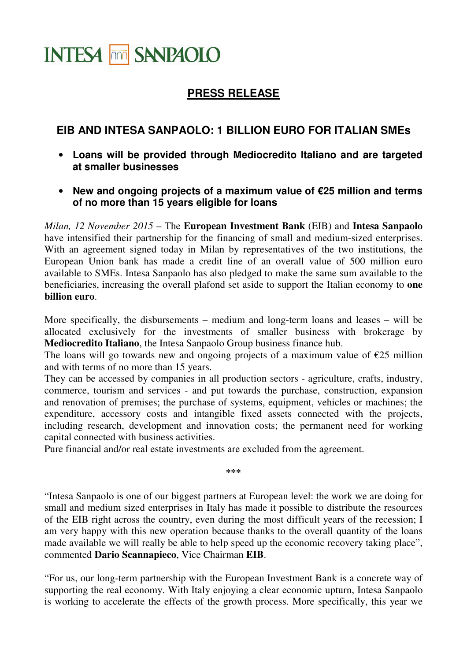## **INTESA THE SANPAOLO**

## **PRESS RELEASE**

## **EIB AND INTESA SANPAOLO: 1 BILLION EURO FOR ITALIAN SMEs**

- **Loans will be provided through Mediocredito Italiano and are targeted at smaller businesses**
- **New and ongoing projects of a maximum value of €25 million and terms of no more than 15 years eligible for loans**

*Milan, 12 November 2015* – The **European Investment Bank** (EIB) and **Intesa Sanpaolo** have intensified their partnership for the financing of small and medium-sized enterprises. With an agreement signed today in Milan by representatives of the two institutions, the European Union bank has made a credit line of an overall value of 500 million euro available to SMEs. Intesa Sanpaolo has also pledged to make the same sum available to the beneficiaries, increasing the overall plafond set aside to support the Italian economy to **one billion euro**.

More specifically, the disbursements – medium and long-term loans and leases – will be allocated exclusively for the investments of smaller business with brokerage by **Mediocredito Italiano**, the Intesa Sanpaolo Group business finance hub.

The loans will go towards new and ongoing projects of a maximum value of  $\epsilon$ 25 million and with terms of no more than 15 years.

They can be accessed by companies in all production sectors - agriculture, crafts, industry, commerce, tourism and services - and put towards the purchase, construction, expansion and renovation of premises; the purchase of systems, equipment, vehicles or machines; the expenditure, accessory costs and intangible fixed assets connected with the projects, including research, development and innovation costs; the permanent need for working capital connected with business activities.

Pure financial and/or real estate investments are excluded from the agreement.

**\*\*\*** 

"Intesa Sanpaolo is one of our biggest partners at European level: the work we are doing for small and medium sized enterprises in Italy has made it possible to distribute the resources of the EIB right across the country, even during the most difficult years of the recession; I am very happy with this new operation because thanks to the overall quantity of the loans made available we will really be able to help speed up the economic recovery taking place", commented **Dario Scannapieco**, Vice Chairman **EIB**.

"For us, our long-term partnership with the European Investment Bank is a concrete way of supporting the real economy. With Italy enjoying a clear economic upturn, Intesa Sanpaolo is working to accelerate the effects of the growth process. More specifically, this year we